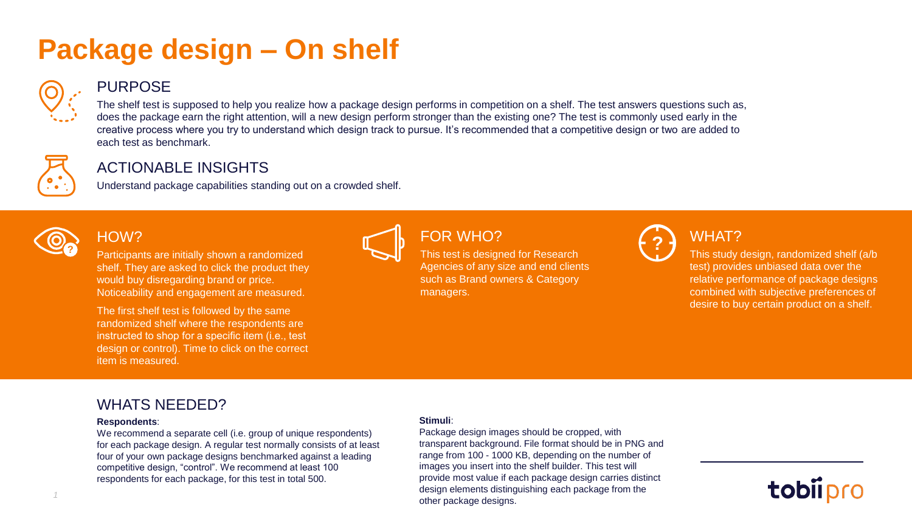# **Package design – On shelf**



#### PURPOSE

The shelf test is supposed to help you realize how a package design performs in competition on a shelf. The test answers questions such as, does the package earn the right attention, will a new design perform stronger than the existing one? The test is commonly used early in the creative process where you try to understand which design track to pursue. It's recommended that a competitive design or two are added to each test as benchmark.



#### ACTIONABLE INSIGHTS

Understand package capabilities standing out on a crowded shelf.



#### HOW?

Participants are initially shown a randomized shelf. They are asked to click the product they would buy disregarding brand or price. Noticeability and engagement are measured. **P PUR WHU**:<br>**P Participants are initially shown a randomized <b>Reference to the Second for Pessarch** 

The first shelf test is followed by the same randomized shelf where the respondents are instructed to shop for a specific item (i.e., test design or control). Time to click on the correct item is measured.



## FOR WHO?

This test is designed for Research Agencies of any size and end clients such as Brand owners & Category managers.



## WHAT?

This study design, randomized shelf (a/b test) provides unbiased data over the relative performance of package designs combined with subjective preferences of desire to buy certain product on a shelf.

#### WHATS NEEDED?

#### **Respondents**:

We recommend a separate cell (i.e. group of unique respondents) for each package design. A regular test normally consists of at least four of your own package designs benchmarked against a leading competitive design, "control". We recommend at least 100 respondents for each package, for this test in total 500.

#### **Stimuli**:

Package design images should be cropped, with transparent background. File format should be in PNG and range from 100 - 1000 KB, depending on the number of images you insert into the shelf builder. This test will provide most value if each package design carries distinct design elements distinguishing each package from the other package designs.